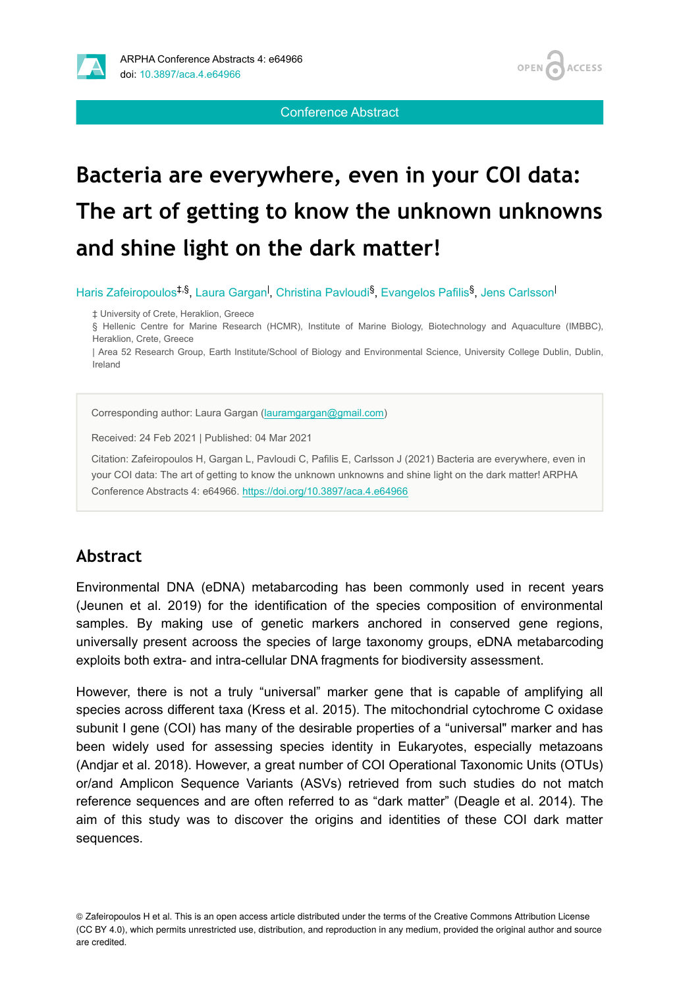

Conference Abstract

# **Bacteria are everywhere, even in your COI data: Τhe art of getting to know the unknown unknowns and shine light on the dark matter!**

Haris Zafeiropoulos<sup>‡,§</sup>, Laura Gargan<sup>I</sup>, Christina Pavloudi<sup>§</sup>, Evangelos Pafilis<sup>§</sup>, Jens Carlsson<sup>I</sup>

‡ University of Crete, Heraklion, Greece

§ Hellenic Centre for Marine Research (HCMR), Institute of Marine Biology, Biotechnology and Aquaculture (IMBBC), Heraklion, Crete, Greece

| Area 52 Research Group, Earth Institute/School of Biology and Environmental Science, University College Dublin, Dublin, Ireland

Corresponding author: Laura Gargan ([lauramgargan@gmail.com](mailto:lauramgargan@gmail.com))

Received: 24 Feb 2021 | Published: 04 Mar 2021

Citation: Zafeiropoulos H, Gargan L, Pavloudi C, Pafilis E, Carlsson J (2021) Bacteria are everywhere, even in your COI data: Τhe art of getting to know the unknown unknowns and shine light on the dark matter! ARPHA Conference Abstracts 4: e64966. <https://doi.org/10.3897/aca.4.e64966>

# **Abstract**

Environmental DNA (eDNA) metabarcoding has been commonly used in recent years (Jeunen et al. 2019) for the identification of the species composition of environmental samples. By making use of genetic markers anchored in conserved gene regions, universally present acrooss the species of large taxonomy groups, eDNA metabarcoding exploits both extra- and intra-cellular DNA fragments for biodiversity assessment.

However, there is not a truly "universal" marker gene that is capable of amplifying all species across different taxa (Kress et al. 2015). The mitochondrial cytochrome C oxidase subunit I gene (COI) has many of the desirable properties of a "universal" marker and has been widely used for assessing species identity in Eukaryotes, especially metazoans (Andjar et al. 2018). However, a great number of COI Operational Taxonomic Units (OTUs) or/and Amplicon Sequence Variants (ASVs) retrieved from such studies do not match reference sequences and are often referred to as "dark matter" (Deagle et al. 2014). The aim of this study was to discover the origins and identities of these COI dark matter sequences.

© Zafeiropoulos H et al. This is an open access article distributed under the terms of the Creative Commons Attribution License (CC BY 4.0), which permits unrestricted use, distribution, and reproduction in any medium, provided the original author and source are credited.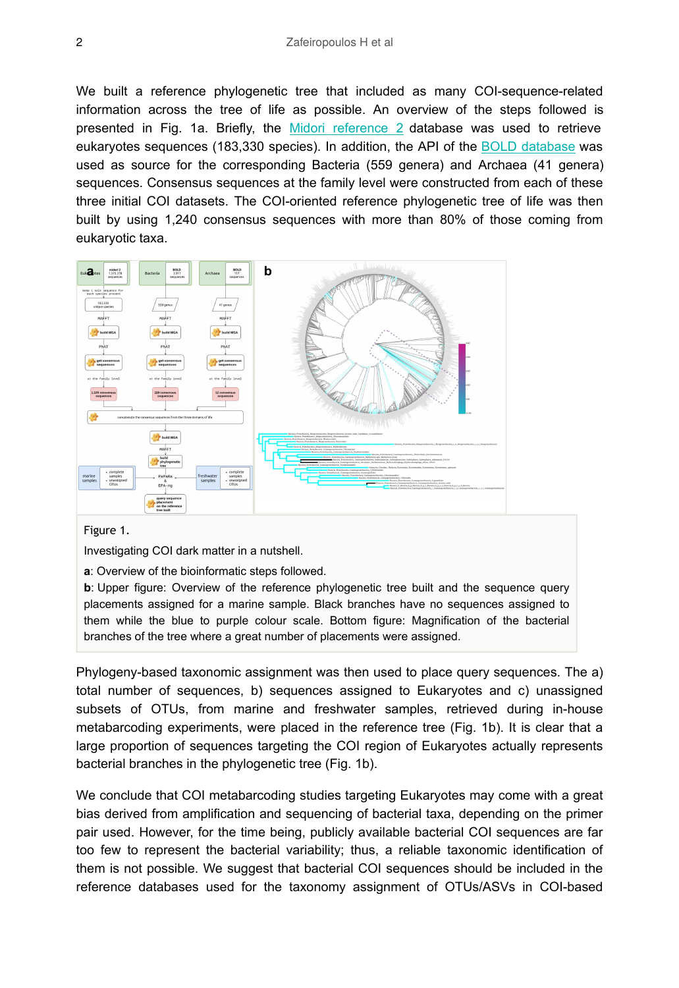We built a reference phylogenetic tree that included as many COI-sequence-related information across the tree of life as possible. An overview of the steps followed is presented in Fig. 1a. Briefly, the [Midori reference 2](http://www.reference-midori.info/index.html) database was used to retrieve eukaryotes sequences (183,330 species). In addition, the API of the [BOLD database](http://boldsystems.org/) was used as source for the corresponding Bacteria (559 genera) and Archaea (41 genera) sequences. Consensus sequences at the family level were constructed from each of these three initial COI datasets. The COI-oriented reference phylogenetic tree of life was then built by using 1,240 consensus sequences with more than 80% of those coming from eukaryotic taxa.



#### Figure 1.

Investigating COI dark matter in a nutshell.

**a**: Overview of the bioinformatic steps followed.

**b**: Upper figure: Overview of the reference phylogenetic tree built and the sequence query placements assigned for a marine sample. Black branches have no sequences assigned to them while the blue to purple colour scale. Bottom figure: Magnification of the bacterial branches of the tree where a great number of placements were assigned.

Phylogeny-based taxonomic assignment was then used to place query sequences. The a) total number of sequences, b) sequences assigned to Eukaryotes and c) unassigned subsets of OTUs, from marine and freshwater samples, retrieved during in-house metabarcoding experiments, were placed in the reference tree (Fig. 1b). It is clear that a large proportion of sequences targeting the COI region of Eukaryotes actually represents bacterial branches in the phylogenetic tree (Fig. 1b).

We conclude that COI metabarcoding studies targeting Eukaryotes may come with a great bias derived from amplification and sequencing of bacterial taxa, depending on the primer pair used. However, for the time being, publicly available bacterial COI sequences are far too few to represent the bacterial variability; thus, a reliable taxonomic identification of them is not possible. We suggest that bacterial COI sequences should be included in the reference databases used for the taxonomy assignment of OTUs/ASVs in COI-based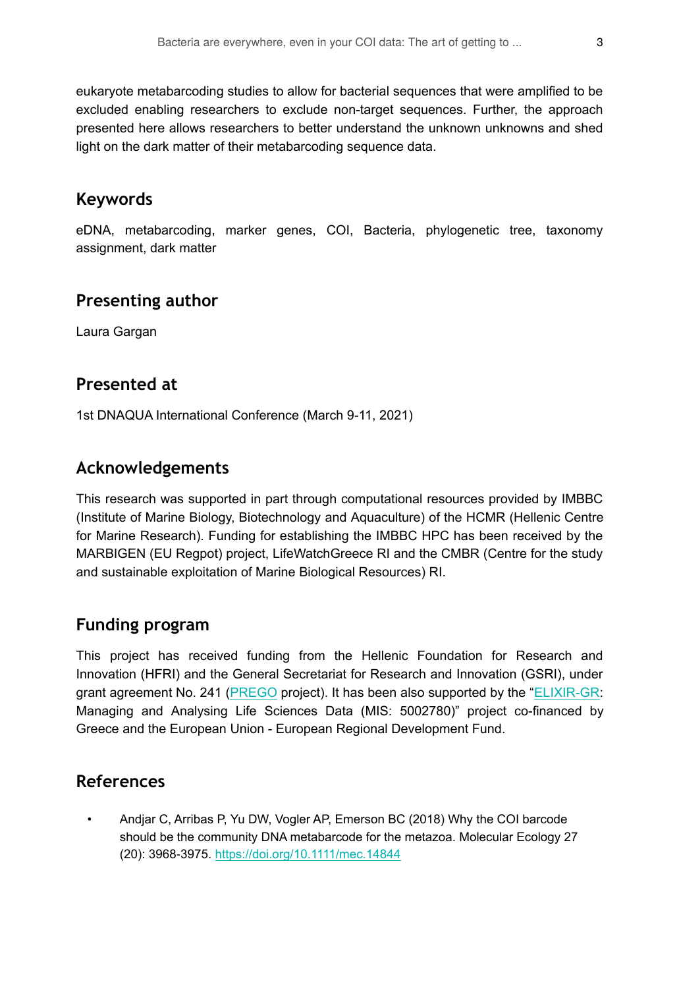eukaryote metabarcoding studies to allow for bacterial sequences that were amplified to be excluded enabling researchers to exclude non-target sequences. Further, the approach presented here allows researchers to better understand the unknown unknowns and shed light on the dark matter of their metabarcoding sequence data.

# **Keywords**

eDNA, metabarcoding, marker genes, COI, Bacteria, phylogenetic tree, taxonomy assignment, dark matter

#### **Presenting author**

Laura Gargan

#### **Presented at**

1st DNAQUA International Conference (March 9-11, 2021)

### **Acknowledgements**

This research was supported in part through computational resources provided by IMBBC (Institute of Marine Biology, Biotechnology and Aquaculture) of the HCMR (Hellenic Centre for Marine Research). Funding for establishing the IMBBC HPC has been received by the MARBIGEN (EU Regpot) project, LifeWatchGreece RI and the CMBR (Centre for the study and sustainable exploitation of Marine Biological Resources) RI.

# **Funding program**

Τhis project has received funding from the Hellenic Foundation for Research and Innovation (HFRI) and the General Secretariat for Research and Innovation (GSRI), under grant agreement No. 241 [\(PREGO](http://prego.hcmr.gr/) project). It has been also supported by the "[ELIXIR-GR:](https://www.elixir-greece.org/) Managing and Analysing Life Sciences Data (MIS: 5002780)" project co-financed by Greece and the European Union - European Regional Development Fund.

#### **References**

• Andjar C, Arribas P, Yu DW, Vogler AP, Emerson BC (2018) Why the COI barcode should be the community DNA metabarcode for the metazoa. Molecular Ecology 27 (20): 3968‑3975. <https://doi.org/10.1111/mec.14844>